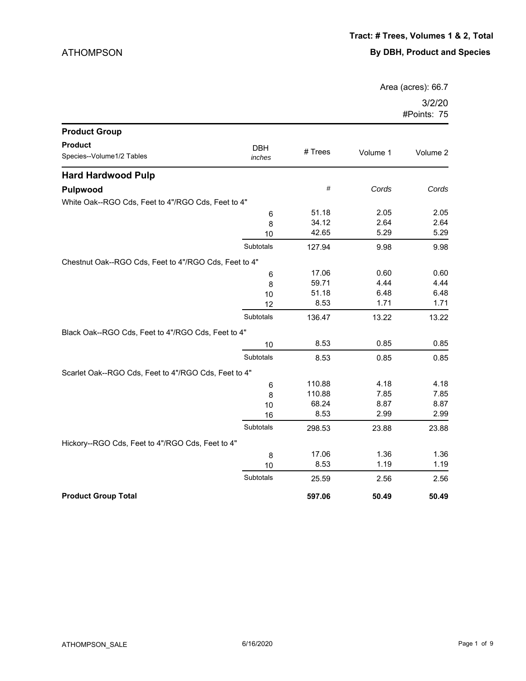Area (acres): 66.7

| <b>Product Group</b>                                  |                      |         |          |          |
|-------------------------------------------------------|----------------------|---------|----------|----------|
| <b>Product</b><br>Species--Volume1/2 Tables           | <b>DBH</b><br>inches | # Trees | Volume 1 | Volume 2 |
| <b>Hard Hardwood Pulp</b>                             |                      |         |          |          |
| Pulpwood                                              |                      | $\#$    | Cords    | Cords    |
| White Oak--RGO Cds, Feet to 4"/RGO Cds, Feet to 4"    |                      |         |          |          |
|                                                       | 6                    | 51.18   | 2.05     | 2.05     |
|                                                       | 8                    | 34.12   | 2.64     | 2.64     |
|                                                       | 10                   | 42.65   | 5.29     | 5.29     |
|                                                       | Subtotals            | 127.94  | 9.98     | 9.98     |
| Chestnut Oak--RGO Cds, Feet to 4"/RGO Cds, Feet to 4" |                      |         |          |          |
|                                                       | 6                    | 17.06   | 0.60     | 0.60     |
|                                                       | 8                    | 59.71   | 4.44     | 4.44     |
|                                                       | 10                   | 51.18   | 6.48     | 6.48     |
|                                                       | 12                   | 8.53    | 1.71     | 1.71     |
|                                                       | Subtotals            | 136.47  | 13.22    | 13.22    |
| Black Oak--RGO Cds, Feet to 4"/RGO Cds, Feet to 4"    |                      |         |          |          |
|                                                       | 10                   | 8.53    | 0.85     | 0.85     |
|                                                       | Subtotals            | 8.53    | 0.85     | 0.85     |
| Scarlet Oak--RGO Cds, Feet to 4"/RGO Cds, Feet to 4"  |                      |         |          |          |
|                                                       | 6                    | 110.88  | 4.18     | 4.18     |
|                                                       | 8                    | 110.88  | 7.85     | 7.85     |
|                                                       | 10                   | 68.24   | 8.87     | 8.87     |
|                                                       | 16                   | 8.53    | 2.99     | 2.99     |
|                                                       | Subtotals            | 298.53  | 23.88    | 23.88    |
| Hickory--RGO Cds, Feet to 4"/RGO Cds, Feet to 4"      |                      |         |          |          |
|                                                       | 8                    | 17.06   | 1.36     | 1.36     |
|                                                       | 10                   | 8.53    | 1.19     | 1.19     |
|                                                       | Subtotals            | 25.59   | 2.56     | 2.56     |
| <b>Product Group Total</b>                            |                      | 597.06  | 50.49    | 50.49    |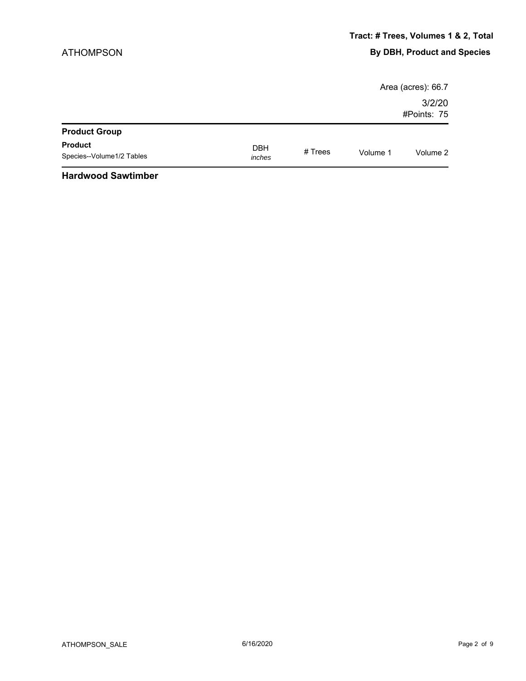|                                             |                      |           |          | Area (acres): 66.7    |
|---------------------------------------------|----------------------|-----------|----------|-----------------------|
|                                             |                      |           |          | 3/2/20<br>#Points: 75 |
| <b>Product Group</b>                        |                      |           |          |                       |
| <b>Product</b><br>Species--Volume1/2 Tables | <b>DBH</b><br>inches | $#$ Trees | Volume 1 | Volume 2              |
| .                                           |                      |           |          |                       |

#### **Hardwood Sawtimber**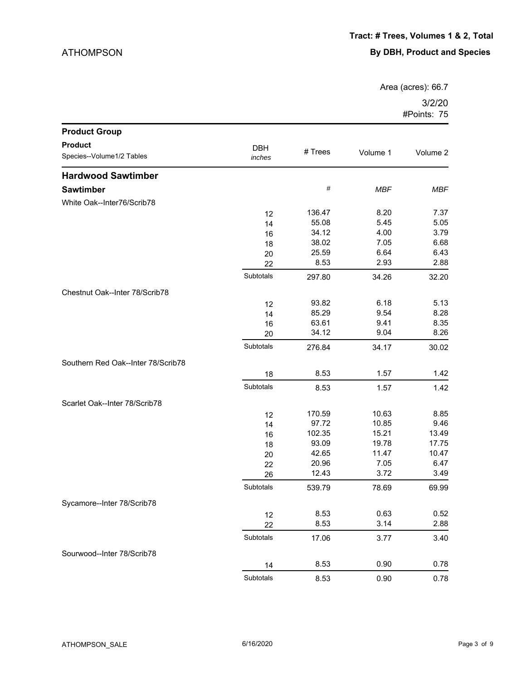Area (acres): 66.7

| <b>Product Group</b>               |            |         |            |            |
|------------------------------------|------------|---------|------------|------------|
| <b>Product</b>                     | <b>DBH</b> |         |            |            |
| Species--Volume1/2 Tables          | inches     | # Trees | Volume 1   | Volume 2   |
| <b>Hardwood Sawtimber</b>          |            |         |            |            |
| <b>Sawtimber</b>                   |            | #       | <b>MBF</b> | <b>MBF</b> |
| White Oak--Inter76/Scrib78         |            |         |            |            |
|                                    | 12         | 136.47  | 8.20       | 7.37       |
|                                    | 14         | 55.08   | 5.45       | 5.05       |
|                                    | 16         | 34.12   | 4.00       | 3.79       |
|                                    | 18         | 38.02   | 7.05       | 6.68       |
|                                    | 20         | 25.59   | 6.64       | 6.43       |
|                                    | 22         | 8.53    | 2.93       | 2.88       |
|                                    | Subtotals  | 297.80  | 34.26      | 32.20      |
| Chestnut Oak--Inter 78/Scrib78     |            |         |            |            |
|                                    | 12         | 93.82   | 6.18       | 5.13       |
|                                    | 14         | 85.29   | 9.54       | 8.28       |
|                                    | 16         | 63.61   | 9.41       | 8.35       |
|                                    | 20         | 34.12   | 9.04       | 8.26       |
|                                    | Subtotals  | 276.84  | 34.17      | 30.02      |
| Southern Red Oak--Inter 78/Scrib78 |            |         |            |            |
|                                    | 18         | 8.53    | 1.57       | 1.42       |
|                                    | Subtotals  | 8.53    | 1.57       | 1.42       |
| Scarlet Oak--Inter 78/Scrib78      |            |         |            |            |
|                                    | 12         | 170.59  | 10.63      | 8.85       |
|                                    | 14         | 97.72   | 10.85      | 9.46       |
|                                    | 16         | 102.35  | 15.21      | 13.49      |
|                                    | 18         | 93.09   | 19.78      | 17.75      |
|                                    | 20         | 42.65   | 11.47      | 10.47      |
|                                    | 22         | 20.96   | 7.05       | 6.47       |
|                                    | 26         | 12.43   | 3.72       | 3.49       |
|                                    | Subtotals  | 539.79  | 78.69      | 69.99      |
| Sycamore--Inter 78/Scrib78         |            |         |            |            |
|                                    | 12         | 8.53    | 0.63       | 0.52       |
|                                    | 22         | 8.53    | 3.14       | 2.88       |
|                                    | Subtotals  | 17.06   | 3.77       | 3.40       |
| Sourwood--Inter 78/Scrib78         |            |         |            |            |
|                                    | 14         | 8.53    | 0.90       | 0.78       |
|                                    | Subtotals  | 8.53    | 0.90       | 0.78       |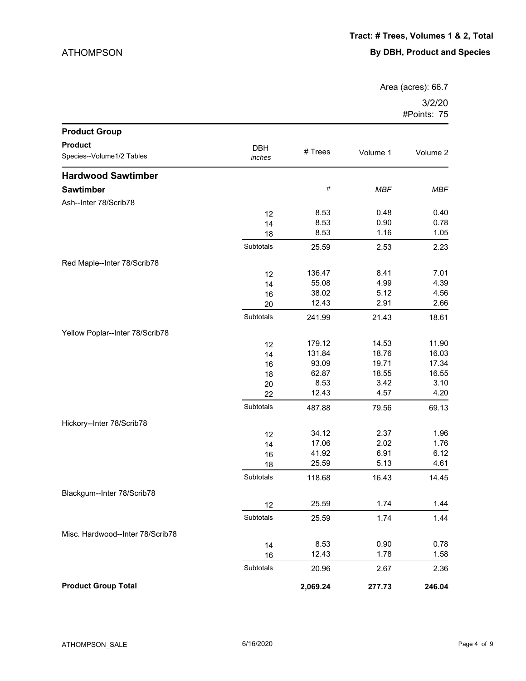Area (acres): 66.7

| <b>Product Group</b>             |            |          |            |            |
|----------------------------------|------------|----------|------------|------------|
| <b>Product</b>                   | <b>DBH</b> |          |            |            |
| Species--Volume1/2 Tables        | inches     | # Trees  | Volume 1   | Volume 2   |
| <b>Hardwood Sawtimber</b>        |            |          |            |            |
| <b>Sawtimber</b>                 |            | $\#$     | <b>MBF</b> | <b>MBF</b> |
| Ash--Inter 78/Scrib78            |            |          |            |            |
|                                  | 12         | 8.53     | 0.48       | 0.40       |
|                                  | 14         | 8.53     | 0.90       | 0.78       |
|                                  | 18         | 8.53     | 1.16       | 1.05       |
|                                  | Subtotals  | 25.59    | 2.53       | 2.23       |
| Red Maple--Inter 78/Scrib78      |            |          |            |            |
|                                  | 12         | 136.47   | 8.41       | 7.01       |
|                                  | 14         | 55.08    | 4.99       | 4.39       |
|                                  | 16         | 38.02    | 5.12       | 4.56       |
|                                  | 20         | 12.43    | 2.91       | 2.66       |
|                                  | Subtotals  | 241.99   | 21.43      | 18.61      |
| Yellow Poplar--Inter 78/Scrib78  |            |          |            |            |
|                                  | 12         | 179.12   | 14.53      | 11.90      |
|                                  | 14         | 131.84   | 18.76      | 16.03      |
|                                  | 16         | 93.09    | 19.71      | 17.34      |
|                                  | 18         | 62.87    | 18.55      | 16.55      |
|                                  | 20         | 8.53     | 3.42       | 3.10       |
|                                  | 22         | 12.43    | 4.57       | 4.20       |
|                                  | Subtotals  | 487.88   | 79.56      | 69.13      |
| Hickory--Inter 78/Scrib78        |            |          |            |            |
|                                  | 12         | 34.12    | 2.37       | 1.96       |
|                                  | 14         | 17.06    | 2.02       | 1.76       |
|                                  | 16         | 41.92    | 6.91       | 6.12       |
|                                  | 18         | 25.59    | 5.13       | 4.61       |
|                                  | Subtotals  | 118.68   | 16.43      | 14.45      |
| Blackgum--Inter 78/Scrib78       |            |          |            |            |
|                                  | 12         | 25.59    | 1.74       | 1.44       |
|                                  | Subtotals  | 25.59    | 1.74       | 1.44       |
| Misc. Hardwood--Inter 78/Scrib78 |            |          |            |            |
|                                  | 14         | 8.53     | 0.90       | 0.78       |
|                                  | 16         | 12.43    | 1.78       | 1.58       |
|                                  | Subtotals  | 20.96    | 2.67       | 2.36       |
| <b>Product Group Total</b>       |            | 2,069.24 | 277.73     | 246.04     |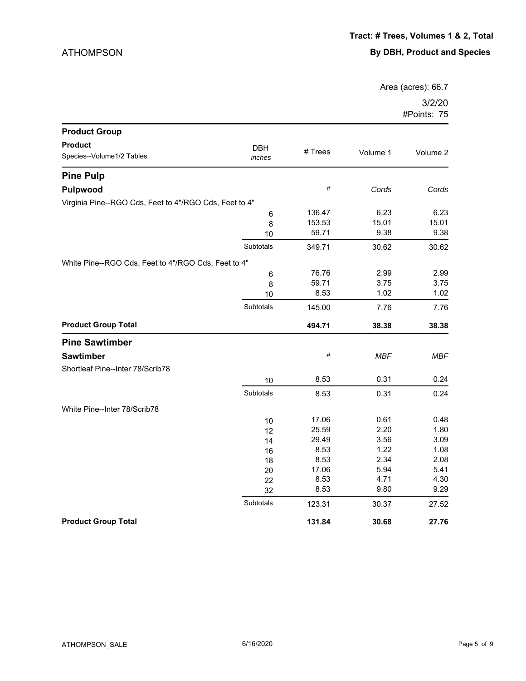Area (acres): 66.7

| <b>Product Group</b>                                   |                      |         |            |          |
|--------------------------------------------------------|----------------------|---------|------------|----------|
| <b>Product</b><br>Species--Volume1/2 Tables            | <b>DBH</b><br>inches | # Trees | Volume 1   | Volume 2 |
| <b>Pine Pulp</b>                                       |                      |         |            |          |
| <b>Pulpwood</b>                                        |                      | $\#$    | Cords      | Cords    |
| Virginia Pine--RGO Cds, Feet to 4"/RGO Cds, Feet to 4" |                      |         |            |          |
|                                                        | 6                    | 136.47  | 6.23       | 6.23     |
|                                                        | 8                    | 153.53  | 15.01      | 15.01    |
|                                                        | 10                   | 59.71   | 9.38       | 9.38     |
|                                                        | Subtotals            | 349.71  | 30.62      | 30.62    |
| White Pine--RGO Cds, Feet to 4"/RGO Cds, Feet to 4"    |                      |         |            |          |
|                                                        | 6                    | 76.76   | 2.99       | 2.99     |
|                                                        | 8                    | 59.71   | 3.75       | 3.75     |
|                                                        | 10                   | 8.53    | 1.02       | 1.02     |
|                                                        | Subtotals            | 145.00  | 7.76       | 7.76     |
| <b>Product Group Total</b>                             |                      | 494.71  | 38.38      | 38.38    |
| <b>Pine Sawtimber</b>                                  |                      |         |            |          |
| <b>Sawtimber</b>                                       |                      | $\#$    | <b>MBF</b> | MBF      |
| Shortleaf Pine--Inter 78/Scrib78                       |                      |         |            |          |
|                                                        | 10                   | 8.53    | 0.31       | 0.24     |
|                                                        | Subtotals            | 8.53    | 0.31       | 0.24     |
| White Pine--Inter 78/Scrib78                           |                      |         |            |          |
|                                                        | 10                   | 17.06   | 0.61       | 0.48     |
|                                                        | 12                   | 25.59   | 2.20       | 1.80     |
|                                                        | 14                   | 29.49   | 3.56       | 3.09     |
|                                                        | 16                   | 8.53    | 1.22       | 1.08     |
|                                                        | 18                   | 8.53    | 2.34       | 2.08     |
|                                                        | 20                   | 17.06   | 5.94       | 5.41     |
|                                                        | 22                   | 8.53    | 4.71       | 4.30     |
|                                                        | 32                   | 8.53    | 9.80       | 9.29     |
|                                                        | Subtotals            | 123.31  | 30.37      | 27.52    |
| <b>Product Group Total</b>                             |                      | 131.84  | 30.68      | 27.76    |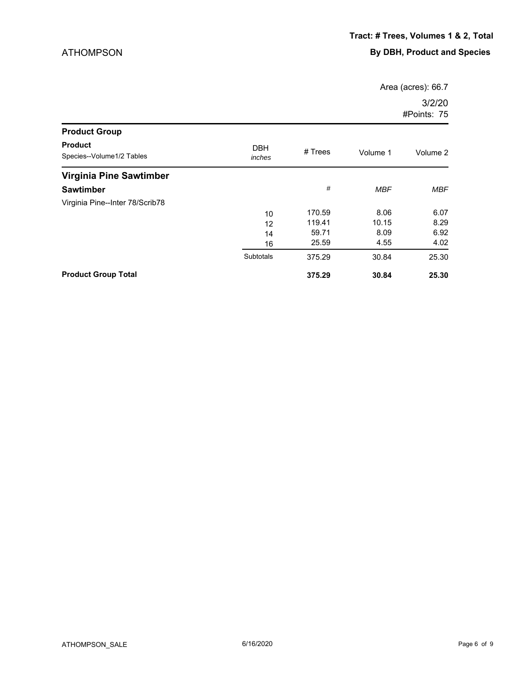Area (acres): 66.7

| <b>Product Group</b>                        |                      |         |            |            |
|---------------------------------------------|----------------------|---------|------------|------------|
| <b>Product</b><br>Species--Volume1/2 Tables | <b>DBH</b><br>inches | # Trees | Volume 1   | Volume 2   |
| Virginia Pine Sawtimber                     |                      |         |            |            |
| <b>Sawtimber</b>                            |                      | #       | <b>MBF</b> | <b>MBF</b> |
| Virginia Pine--Inter 78/Scrib78             |                      |         |            |            |
|                                             | 10                   | 170.59  | 8.06       | 6.07       |
|                                             | 12                   | 119.41  | 10.15      | 8.29       |
|                                             | 14                   | 59.71   | 8.09       | 6.92       |
|                                             | 16                   | 25.59   | 4.55       | 4.02       |
|                                             | Subtotals            | 375.29  | 30.84      | 25.30      |
| <b>Product Group Total</b>                  |                      | 375.29  | 30.84      | 25.30      |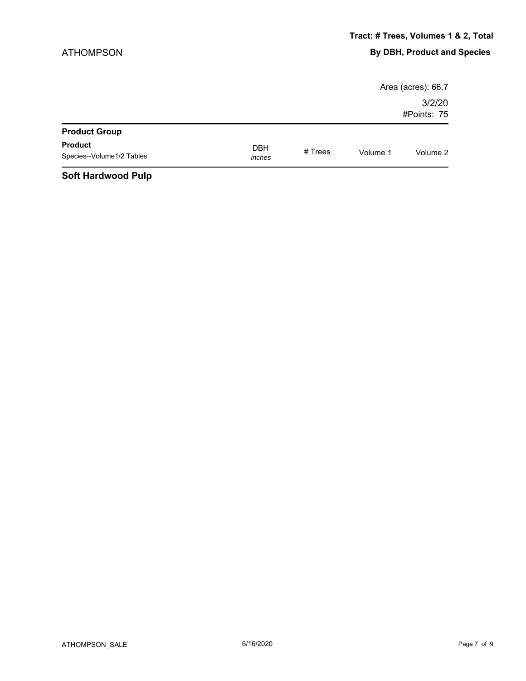|                                                                 |            |         |          | Area (acres): 66.7    |
|-----------------------------------------------------------------|------------|---------|----------|-----------------------|
|                                                                 |            |         |          | 3/2/20<br>#Points: 75 |
| <b>Product Group</b>                                            |            |         |          |                       |
| <b>Product</b>                                                  | <b>DBH</b> |         |          |                       |
| Species--Volume1/2 Tables                                       | inches     | # Trees | Volume 1 | Volume 2              |
| $\mathbf{A}$ and the subsequently $\mathbf{B}$ and $\mathbf{B}$ |            |         |          |                       |

#### **Soft Hardwood Pulp**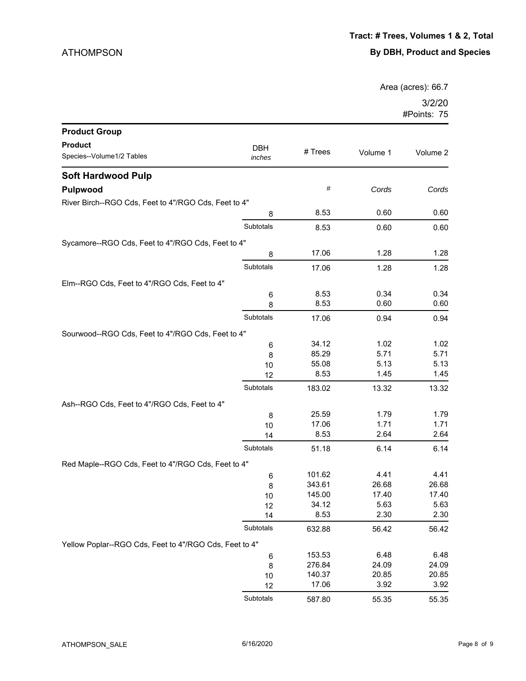Area (acres): 66.7

| <b>Product Group</b>                                   |                      |         |          |          |
|--------------------------------------------------------|----------------------|---------|----------|----------|
| <b>Product</b>                                         |                      |         |          |          |
| Species--Volume1/2 Tables                              | <b>DBH</b><br>inches | # Trees | Volume 1 | Volume 2 |
| <b>Soft Hardwood Pulp</b>                              |                      |         |          |          |
| <b>Pulpwood</b>                                        |                      | #       | Cords    | Cords    |
| River Birch--RGO Cds, Feet to 4"/RGO Cds, Feet to 4"   |                      |         |          |          |
|                                                        | 8                    | 8.53    | 0.60     | 0.60     |
|                                                        | Subtotals            | 8.53    | 0.60     | 0.60     |
| Sycamore--RGO Cds, Feet to 4"/RGO Cds, Feet to 4"      |                      |         |          |          |
|                                                        | 8                    | 17.06   | 1.28     | 1.28     |
|                                                        | Subtotals            | 17.06   | 1.28     | 1.28     |
| Elm--RGO Cds, Feet to 4"/RGO Cds, Feet to 4"           |                      |         |          |          |
|                                                        | 6                    | 8.53    | 0.34     | 0.34     |
|                                                        | 8                    | 8.53    | 0.60     | 0.60     |
|                                                        | Subtotals            | 17.06   | 0.94     | 0.94     |
| Sourwood--RGO Cds, Feet to 4"/RGO Cds, Feet to 4"      |                      |         |          |          |
|                                                        | 6                    | 34.12   | 1.02     | 1.02     |
|                                                        | 8                    | 85.29   | 5.71     | 5.71     |
|                                                        | 10                   | 55.08   | 5.13     | 5.13     |
|                                                        | 12                   | 8.53    | 1.45     | 1.45     |
|                                                        | Subtotals            | 183.02  | 13.32    | 13.32    |
| Ash--RGO Cds, Feet to 4"/RGO Cds, Feet to 4"           |                      |         |          |          |
|                                                        | 8                    | 25.59   | 1.79     | 1.79     |
|                                                        | 10                   | 17.06   | 1.71     | 1.71     |
|                                                        | 14                   | 8.53    | 2.64     | 2.64     |
|                                                        | Subtotals            | 51.18   | 6.14     | 6.14     |
| Red Maple--RGO Cds, Feet to 4"/RGO Cds, Feet to 4"     |                      |         |          |          |
|                                                        | 6                    | 101.62  | 4.41     | 4.41     |
|                                                        | 8                    | 343.61  | 26.68    | 26.68    |
|                                                        | 10                   | 145.00  | 17.40    | 17.40    |
|                                                        | 12                   | 34.12   | 5.63     | 5.63     |
|                                                        | 14                   | 8.53    | 2.30     | 2.30     |
|                                                        | Subtotals            | 632.88  | 56.42    | 56.42    |
| Yellow Poplar--RGO Cds, Feet to 4"/RGO Cds, Feet to 4" |                      |         |          |          |
|                                                        | 6                    | 153.53  | 6.48     | 6.48     |
|                                                        | 8                    | 276.84  | 24.09    | 24.09    |
|                                                        | 10                   | 140.37  | 20.85    | 20.85    |
|                                                        | 12                   | 17.06   | 3.92     | 3.92     |
|                                                        | Subtotals            | 587.80  | 55.35    | 55.35    |